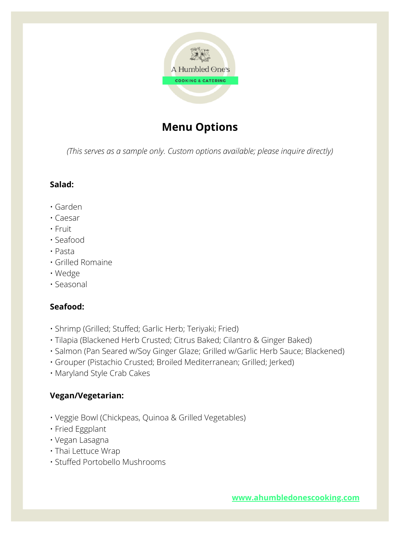

# **Menu Options**

*(This serves as a sample only. Custom options available; please inquire directly)*

#### **Salad:**

- Garden
- Caesar
- Fruit
- Seafood
- Pasta
- Grilled Romaine
- Wedge
- Seasonal

# **Seafood:**

- Shrimp (Grilled; Stuffed; Garlic Herb; Teriyaki; Fried)
- Tilapia (Blackened Herb Crusted; Citrus Baked; Cilantro & Ginger Baked)
- Salmon (Pan Seared w/Soy Ginger Glaze; Grilled w/Garlic Herb Sauce; Blackened)
- Grouper (Pistachio Crusted; Broiled Mediterranean; Grilled; Jerked)
- Maryland Style Crab Cakes

# **Vegan/Vegetarian:**

- Veggie Bowl (Chickpeas, Quinoa & Grilled Vegetables)
- Fried Eggplant
- Vegan Lasagna
- Thai Lettuce Wrap
- Stuffed Portobello Mushrooms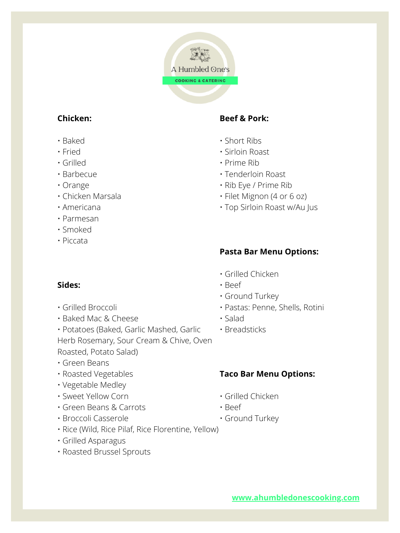

# **Chicken:**

- Baked
- Fried
- Grilled
- Barbecue
- Orange
- Chicken Marsala
- Americana
- Parmesan
- Smoked
- Piccata

### **Sides:**

- Grilled Broccoli
- Baked Mac & Cheese

• Potatoes (Baked, Garlic Mashed, Garlic Herb Rosemary, Sour Cream & Chive, Oven Roasted, Potato Salad)

- Green Beans
- Roasted Vegetables
- Vegetable Medley
- Sweet Yellow Corn
- Green Beans & Carrots
- Broccoli Casserole
- Rice (Wild, Rice Pilaf, Rice Florentine, Yellow)
- Grilled Asparagus
- Roasted Brussel Sprouts

# **Beef & Pork:**

- Short Ribs
- Sirloin Roast
- Prime Rib
- Tenderloin Roast
- Rib Eye / Prime Rib
- Filet Mignon (4 or 6 oz)
- Top Sirloin Roast w/Au Jus

# **Pasta Bar Menu Options:**

#### • Grilled Chicken

- Beef
- Ground Turkey
- Pastas: Penne, Shells, Rotini
- Salad
- Breadsticks

# **Taco Bar Menu Options:**

- Grilled Chicken
- Beef
- Ground Turkey